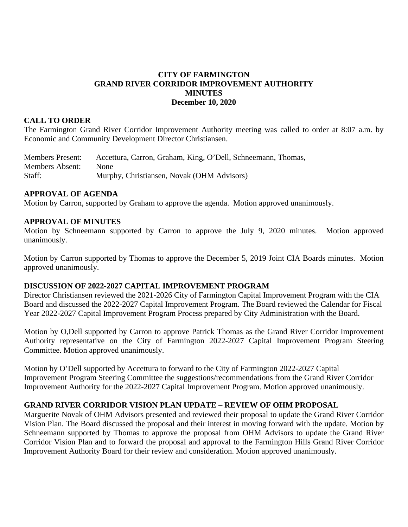## **CITY OF FARMINGTON GRAND RIVER CORRIDOR IMPROVEMENT AUTHORITY MINUTES December 10, 2020**

### **CALL TO ORDER**

The Farmington Grand River Corridor Improvement Authority meeting was called to order at 8:07 a.m. by Economic and Community Development Director Christiansen.

Members Present: Accettura, Carron, Graham, King, O'Dell, Schneemann, Thomas, Members Absent: None Staff: Murphy, Christiansen, Novak (OHM Advisors)

### **APPROVAL OF AGENDA**

Motion by Carron, supported by Graham to approve the agenda. Motion approved unanimously.

#### **APPROVAL OF MINUTES**

Motion by Schneemann supported by Carron to approve the July 9, 2020 minutes. Motion approved unanimously.

Motion by Carron supported by Thomas to approve the December 5, 2019 Joint CIA Boards minutes. Motion approved unanimously.

### **DISCUSSION OF 2022-2027 CAPITAL IMPROVEMENT PROGRAM**

Director Christiansen reviewed the 2021-2026 City of Farmington Capital Improvement Program with the CIA Board and discussed the 2022-2027 Capital Improvement Program. The Board reviewed the Calendar for Fiscal Year 2022-2027 Capital Improvement Program Process prepared by City Administration with the Board.

Motion by O,Dell supported by Carron to approve Patrick Thomas as the Grand River Corridor Improvement Authority representative on the City of Farmington 2022-2027 Capital Improvement Program Steering Committee. Motion approved unanimously.

Motion by O'Dell supported by Accettura to forward to the City of Farmington 2022-2027 Capital Improvement Program Steering Committee the suggestions/recommendations from the Grand River Corridor Improvement Authority for the 2022-2027 Capital Improvement Program. Motion approved unanimously.

### **GRAND RIVER CORRIDOR VISION PLAN UPDATE – REVIEW OF OHM PROPOSAL**

Marguerite Novak of OHM Advisors presented and reviewed their proposal to update the Grand River Corridor Vision Plan. The Board discussed the proposal and their interest in moving forward with the update. Motion by Schneemann supported by Thomas to approve the proposal from OHM Advisors to update the Grand River Corridor Vision Plan and to forward the proposal and approval to the Farmington Hills Grand River Corridor Improvement Authority Board for their review and consideration. Motion approved unanimously.